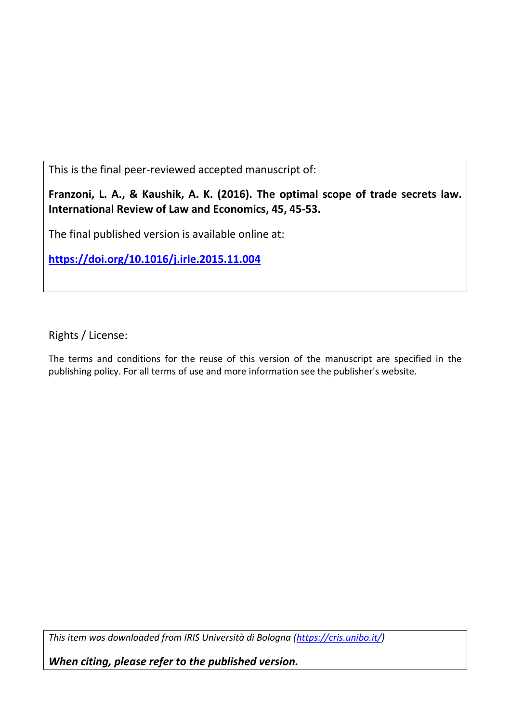This is the final peer-reviewed accepted manuscript of:

**Franzoni, L. A., & Kaushik, A. K. (2016). The optimal scope of trade secrets law. International Review of Law and Economics, 45, 45-53.**

The final published version is available online at:

**<https://doi.org/10.1016/j.irle.2015.11.004>**

Rights / License:

The terms and conditions for the reuse of this version of the manuscript are specified in the publishing policy. For all terms of use and more information see the publisher's website.

*This item was downloaded from IRIS Università di Bologna [\(https://cris.unibo.it/\)](https://cris.unibo.it/)*

*When citing, please refer to the published version.*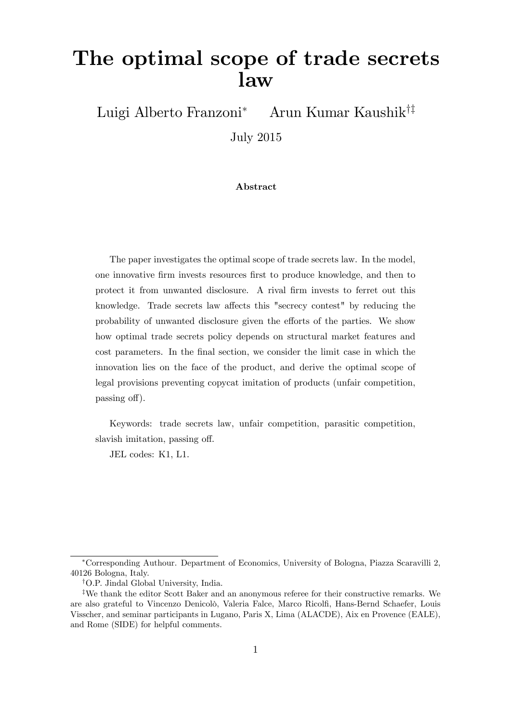# The optimal scope of trade secrets law

Luigi Alberto Franzoni<sup>\*</sup> Arun Kumar Kaushik<sup>†‡</sup> July 2015

#### Abstract

The paper investigates the optimal scope of trade secrets law. In the model, one innovative Örm invests resources Örst to produce knowledge, and then to protect it from unwanted disclosure. A rival firm invests to ferret out this knowledge. Trade secrets law affects this "secrecy contest" by reducing the probability of unwanted disclosure given the efforts of the parties. We show how optimal trade secrets policy depends on structural market features and cost parameters. In the final section, we consider the limit case in which the innovation lies on the face of the product, and derive the optimal scope of legal provisions preventing copycat imitation of products (unfair competition, passing off).

Keywords: trade secrets law, unfair competition, parasitic competition, slavish imitation, passing off.

JEL codes: K1, L1.

Corresponding Authour. Department of Economics, University of Bologna, Piazza Scaravilli 2, 40126 Bologna, Italy.

<sup>&</sup>lt;sup>†</sup>O.P. Jindal Global University, India.

<sup>&</sup>lt;sup>‡</sup>We thank the editor Scott Baker and an anonymous referee for their constructive remarks. We are also grateful to Vincenzo Denicolò, Valeria Falce, Marco Ricolfi, Hans-Bernd Schaefer, Louis Visscher, and seminar participants in Lugano, Paris X, Lima (ALACDE), Aix en Provence (EALE), and Rome (SIDE) for helpful comments.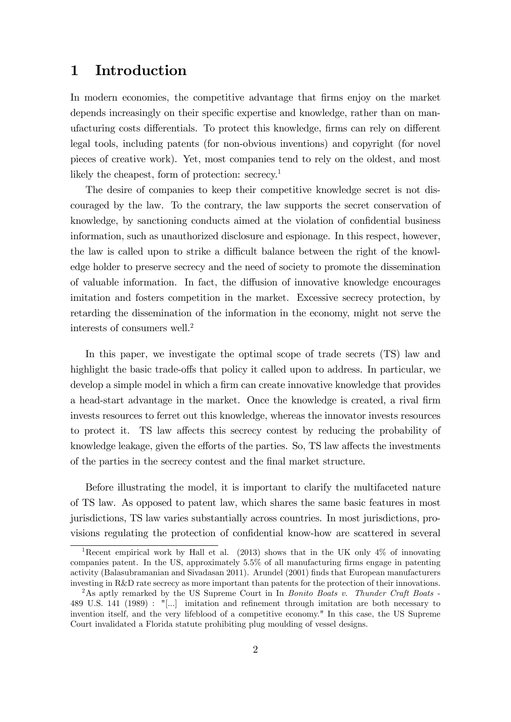### 1 Introduction

In modern economies, the competitive advantage that firms enjoy on the market depends increasingly on their specific expertise and knowledge, rather than on manufacturing costs differentials. To protect this knowledge, firms can rely on different legal tools, including patents (for non-obvious inventions) and copyright (for novel pieces of creative work). Yet, most companies tend to rely on the oldest, and most likely the cheapest, form of protection: secrecy.<sup>1</sup>

The desire of companies to keep their competitive knowledge secret is not discouraged by the law. To the contrary, the law supports the secret conservation of knowledge, by sanctioning conducts aimed at the violation of confidential business information, such as unauthorized disclosure and espionage. In this respect, however, the law is called upon to strike a difficult balance between the right of the knowledge holder to preserve secrecy and the need of society to promote the dissemination of valuable information. In fact, the diffusion of innovative knowledge encourages imitation and fosters competition in the market. Excessive secrecy protection, by retarding the dissemination of the information in the economy, might not serve the interests of consumers well.<sup>2</sup>

In this paper, we investigate the optimal scope of trade secrets (TS) law and highlight the basic trade-offs that policy it called upon to address. In particular, we develop a simple model in which a firm can create innovative knowledge that provides a head-start advantage in the market. Once the knowledge is created, a rival firm invests resources to ferret out this knowledge, whereas the innovator invests resources to protect it. TS law affects this secrecy contest by reducing the probability of knowledge leakage, given the efforts of the parties. So, TS law affects the investments of the parties in the secrecy contest and the Önal market structure.

Before illustrating the model, it is important to clarify the multifaceted nature of TS law. As opposed to patent law, which shares the same basic features in most jurisdictions, TS law varies substantially across countries. In most jurisdictions, provisions regulating the protection of confidential know-how are scattered in several

<sup>&</sup>lt;sup>1</sup>Recent empirical work by Hall et al. (2013) shows that in the UK only  $4\%$  of innovating companies patent. In the US, approximately  $5.5\%$  of all manufacturing firms engage in patenting activity (Balasubramanian and Sivadasan 2011). Arundel (2001) Önds that European manufacturers investing in R&D rate secrecy as more important than patents for the protection of their innovations.

<sup>&</sup>lt;sup>2</sup>As aptly remarked by the US Supreme Court in In *Bonito Boats v. Thunder Craft Boats* -489 U.S. 141 (1989) : "[...] imitation and refinement through imitation are both necessary to invention itself, and the very lifeblood of a competitive economy." In this case, the US Supreme Court invalidated a Florida statute prohibiting plug moulding of vessel designs.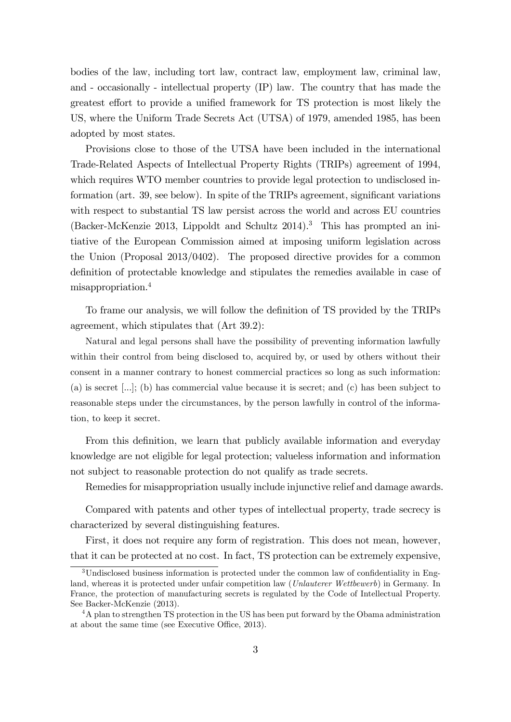bodies of the law, including tort law, contract law, employment law, criminal law, and - occasionally - intellectual property (IP) law. The country that has made the greatest effort to provide a unified framework for TS protection is most likely the US, where the Uniform Trade Secrets Act (UTSA) of 1979, amended 1985, has been adopted by most states.

Provisions close to those of the UTSA have been included in the international Trade-Related Aspects of Intellectual Property Rights (TRIPs) agreement of 1994, which requires WTO member countries to provide legal protection to undisclosed information (art. 39, see below). In spite of the TRIPs agreement, significant variations with respect to substantial TS law persist across the world and across EU countries (Backer-McKenzie 2013, Lippoldt and Schultz 2014).<sup>3</sup> This has prompted an initiative of the European Commission aimed at imposing uniform legislation across the Union (Proposal 2013/0402). The proposed directive provides for a common definition of protectable knowledge and stipulates the remedies available in case of misappropriation.<sup>4</sup>

To frame our analysis, we will follow the definition of TS provided by the TRIPs agreement, which stipulates that (Art 39.2):

Natural and legal persons shall have the possibility of preventing information lawfully within their control from being disclosed to, acquired by, or used by others without their consent in a manner contrary to honest commercial practices so long as such information: (a) is secret [...]; (b) has commercial value because it is secret; and (c) has been subject to reasonable steps under the circumstances, by the person lawfully in control of the information, to keep it secret.

From this definition, we learn that publicly available information and everyday knowledge are not eligible for legal protection; valueless information and information not subject to reasonable protection do not qualify as trade secrets.

Remedies for misappropriation usually include injunctive relief and damage awards.

Compared with patents and other types of intellectual property, trade secrecy is characterized by several distinguishing features.

First, it does not require any form of registration. This does not mean, however, that it can be protected at no cost. In fact, TS protection can be extremely expensive,

 $3$ Undisclosed business information is protected under the common law of confidentiality in England, whereas it is protected under unfair competition law (Unlauterer Wettbewerb) in Germany. In France, the protection of manufacturing secrets is regulated by the Code of Intellectual Property. See Backer-McKenzie (2013).

<sup>&</sup>lt;sup>4</sup>A plan to strengthen TS protection in the US has been put forward by the Obama administration at about the same time (see Executive Office, 2013).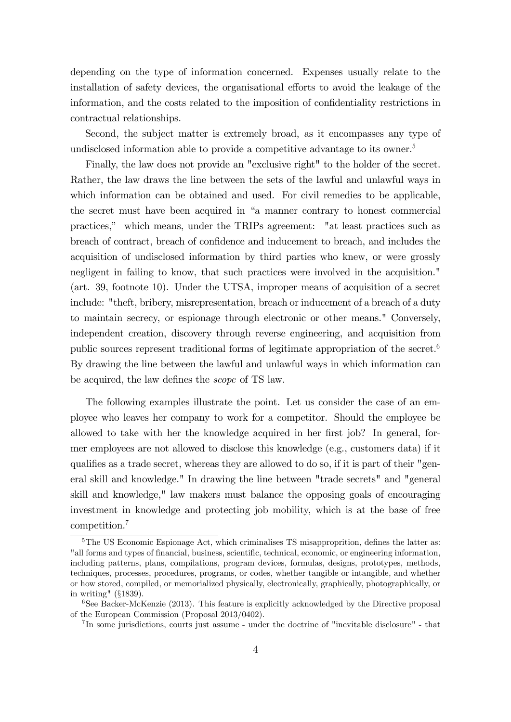depending on the type of information concerned. Expenses usually relate to the installation of safety devices, the organisational efforts to avoid the leakage of the information, and the costs related to the imposition of confidentiality restrictions in contractual relationships.

Second, the subject matter is extremely broad, as it encompasses any type of undisclosed information able to provide a competitive advantage to its owner.<sup>5</sup>

Finally, the law does not provide an "exclusive right" to the holder of the secret. Rather, the law draws the line between the sets of the lawful and unlawful ways in which information can be obtained and used. For civil remedies to be applicable, the secret must have been acquired in "a manner contrary to honest commercial practices," which means, under the TRIPs agreement: "at least practices such as breach of contract, breach of confidence and inducement to breach, and includes the acquisition of undisclosed information by third parties who knew, or were grossly negligent in failing to know, that such practices were involved in the acquisition." (art. 39, footnote 10). Under the UTSA, improper means of acquisition of a secret include: "theft, bribery, misrepresentation, breach or inducement of a breach of a duty to maintain secrecy, or espionage through electronic or other means." Conversely, independent creation, discovery through reverse engineering, and acquisition from public sources represent traditional forms of legitimate appropriation of the secret.<sup>6</sup> By drawing the line between the lawful and unlawful ways in which information can be acquired, the law defines the *scope* of TS law.

The following examples illustrate the point. Let us consider the case of an employee who leaves her company to work for a competitor. Should the employee be allowed to take with her the knowledge acquired in her first job? In general, former employees are not allowed to disclose this knowledge (e.g., customers data) if it qualifies as a trade secret, whereas they are allowed to do so, if it is part of their "general skill and knowledge." In drawing the line between "trade secrets" and "general skill and knowledge," law makers must balance the opposing goals of encouraging investment in knowledge and protecting job mobility, which is at the base of free competition.<sup>7</sup>

 $5$ The US Economic Espionage Act, which criminalises TS misapproprition, defines the latter as: "all forms and types of financial, business, scientific, technical, economic, or engineering information, including patterns, plans, compilations, program devices, formulas, designs, prototypes, methods, techniques, processes, procedures, programs, or codes, whether tangible or intangible, and whether or how stored, compiled, or memorialized physically, electronically, graphically, photographically, or in writing" (ß1839).

 $6$ See Backer-McKenzie (2013). This feature is explicitly acknowledged by the Directive proposal of the European Commission (Proposal 2013/0402).

<sup>&</sup>lt;sup>7</sup>In some jurisdictions, courts just assume - under the doctrine of "inevitable disclosure" - that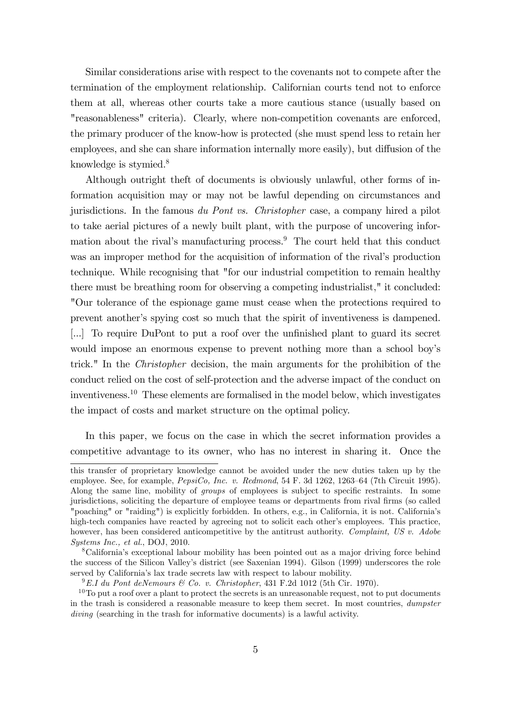Similar considerations arise with respect to the covenants not to compete after the termination of the employment relationship. Californian courts tend not to enforce them at all, whereas other courts take a more cautious stance (usually based on "reasonableness" criteria). Clearly, where non-competition covenants are enforced, the primary producer of the know-how is protected (she must spend less to retain her employees, and she can share information internally more easily), but diffusion of the knowledge is stymied. $8$ 

Although outright theft of documents is obviously unlawful, other forms of information acquisition may or may not be lawful depending on circumstances and jurisdictions. In the famous du Pont vs. Christopher case, a company hired a pilot to take aerial pictures of a newly built plant, with the purpose of uncovering information about the rival's manufacturing process.<sup>9</sup> The court held that this conduct was an improper method for the acquisition of information of the rival's production technique. While recognising that "for our industrial competition to remain healthy there must be breathing room for observing a competing industrialist," it concluded: "Our tolerance of the espionage game must cease when the protections required to prevent anotherís spying cost so much that the spirit of inventiveness is dampened. [...] To require DuPont to put a roof over the unfinished plant to guard its secret would impose an enormous expense to prevent nothing more than a school boy's trick." In the Christopher decision, the main arguments for the prohibition of the conduct relied on the cost of self-protection and the adverse impact of the conduct on inventiveness.<sup>10</sup> These elements are formalised in the model below, which investigates the impact of costs and market structure on the optimal policy.

In this paper, we focus on the case in which the secret information provides a competitive advantage to its owner, who has no interest in sharing it. Once the

this transfer of proprietary knowledge cannot be avoided under the new duties taken up by the employee. See, for example,  $PepsiCo$ , Inc. v. Redmond, 54 F. 3d 1262, 1263–64 (7th Circuit 1995). Along the same line, mobility of *groups* of employees is subject to specific restraints. In some jurisdictions, soliciting the departure of employee teams or departments from rival firms (so called "poaching" or "raiding") is explicitly forbidden. In others, e.g., in California, it is not. Californiaís high-tech companies have reacted by agreeing not to solicit each other's employees. This practice, however, has been considered anticompetitive by the antitrust authority. Complaint, US v. Adobe Systems Inc., et al., DOJ, 2010.

<sup>8</sup>Californiaís exceptional labour mobility has been pointed out as a major driving force behind the success of the Silicon Valleyís district (see Saxenian 1994). Gilson (1999) underscores the role served by Californiaís lax trade secrets law with respect to labour mobility.

 $^{9}E.I$  du Pont deNemours & Co. v. Christopher, 431 F.2d 1012 (5th Cir. 1970).

 $10$ To put a roof over a plant to protect the secrets is an unreasonable request, not to put documents in the trash is considered a reasonable measure to keep them secret. In most countries, dumpster diving (searching in the trash for informative documents) is a lawful activity.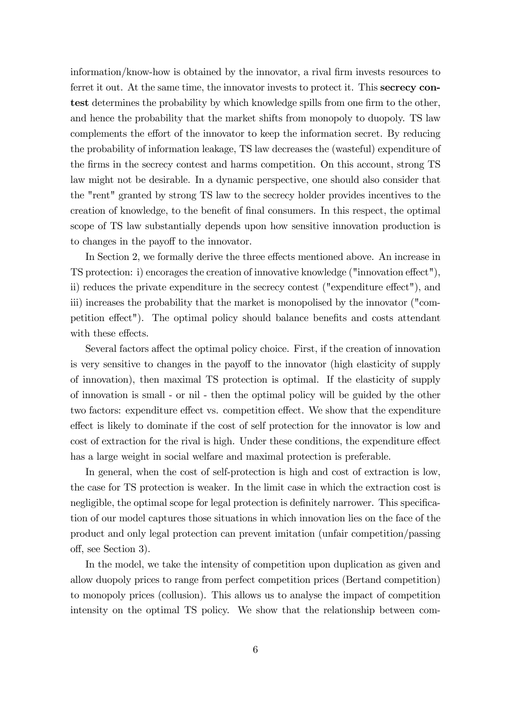information/know-how is obtained by the innovator, a rival firm invests resources to ferret it out. At the same time, the innovator invests to protect it. This secrecy contest determines the probability by which knowledge spills from one firm to the other, and hence the probability that the market shifts from monopoly to duopoly. TS law complements the effort of the innovator to keep the information secret. By reducing the probability of information leakage, TS law decreases the (wasteful) expenditure of the firms in the secrecy contest and harms competition. On this account, strong TS law might not be desirable. In a dynamic perspective, one should also consider that the "rent" granted by strong TS law to the secrecy holder provides incentives to the creation of knowledge, to the benefit of final consumers. In this respect, the optimal scope of TS law substantially depends upon how sensitive innovation production is to changes in the payoff to the innovator.

In Section 2, we formally derive the three effects mentioned above. An increase in TS protection: i) encorages the creation of innovative knowledge ("innovation effect"), ii) reduces the private expenditure in the secrecy contest ("expenditure effect"), and iii) increases the probability that the market is monopolised by the innovator ("competition effect"). The optimal policy should balance benefits and costs attendant with these effects.

Several factors affect the optimal policy choice. First, if the creation of innovation is very sensitive to changes in the payoff to the innovator (high elasticity of supply of innovation), then maximal TS protection is optimal. If the elasticity of supply of innovation is small - or nil - then the optimal policy will be guided by the other two factors: expenditure effect vs. competition effect. We show that the expenditure effect is likely to dominate if the cost of self protection for the innovator is low and cost of extraction for the rival is high. Under these conditions, the expenditure effect has a large weight in social welfare and maximal protection is preferable.

In general, when the cost of self-protection is high and cost of extraction is low, the case for TS protection is weaker. In the limit case in which the extraction cost is negligible, the optimal scope for legal protection is definitely narrower. This specification of our model captures those situations in which innovation lies on the face of the product and only legal protection can prevent imitation (unfair competition/passing off, see Section 3).

In the model, we take the intensity of competition upon duplication as given and allow duopoly prices to range from perfect competition prices (Bertand competition) to monopoly prices (collusion). This allows us to analyse the impact of competition intensity on the optimal TS policy. We show that the relationship between com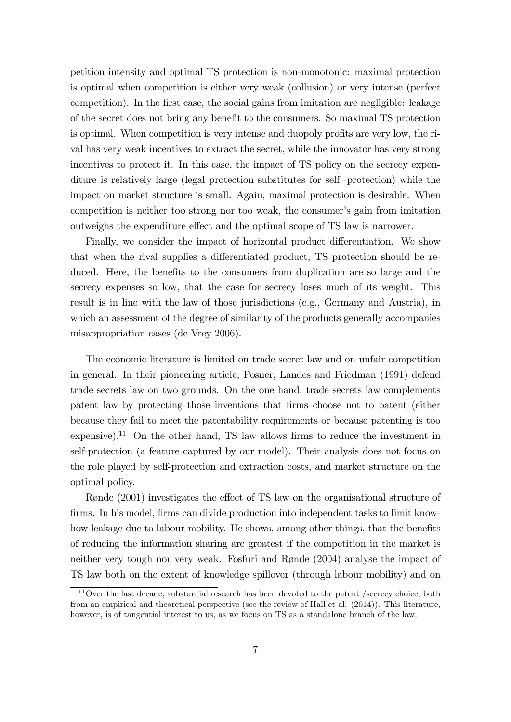petition intensity and optimal TS protection is non-monotonic: maximal protection is optimal when competition is either very weak (collusion) or very intense (perfect competition). In the first case, the social gains from imitation are negligible: leakage of the secret does not bring any benefit to the consumers. So maximal TS protection is optimal. When competition is very intense and duopoly profits are very low, the rival has very weak incentives to extract the secret, while the innovator has very strong incentives to protect it. In this case, the impact of TS policy on the secrecy expenditure is relatively large (legal protection substitutes for self -protection) while the impact on market structure is small. Again, maximal protection is desirable. When competition is neither too strong nor too weak, the consumer's gain from imitation outweighs the expenditure effect and the optimal scope of TS law is narrower.

Finally, we consider the impact of horizontal product differentiation. We show that when the rival supplies a differentiated product, TS protection should be reduced. Here, the benefits to the consumers from duplication are so large and the secrecy expenses so low, that the case for secrecy loses much of its weight. This result is in line with the law of those jurisdictions (e.g., Germany and Austria), in which an assessment of the degree of similarity of the products generally accompanies misappropriation cases (de Vrey 2006).

The economic literature is limited on trade secret law and on unfair competition in general. In their pioneering article, Posner, Landes and Friedman (1991) defend trade secrets law on two grounds. On the one hand, trade secrets law complements patent law by protecting those inventions that Örms choose not to patent (either because they fail to meet the patentability requirements or because patenting is too expensive).<sup>11</sup> On the other hand, TS law allows firms to reduce the investment in self-protection (a feature captured by our model). Their analysis does not focus on the role played by self-protection and extraction costs, and market structure on the optimal policy.

Rønde  $(2001)$  investigates the effect of TS law on the organisational structure of firms. In his model, firms can divide production into independent tasks to limit knowhow leakage due to labour mobility. He shows, among other things, that the benefits of reducing the information sharing are greatest if the competition in the market is neither very tough nor very weak. Fosfuri and R $\beta$ nde (2004) analyse the impact of TS law both on the extent of knowledge spillover (through labour mobility) and on

<sup>&</sup>lt;sup>11</sup>Over the last decade, substantial research has been devoted to the patent /secrecy choice, both from an empirical and theoretical perspective (see the review of Hall et al. (2014)). This literature, however, is of tangential interest to us, as we focus on TS as a standalone branch of the law.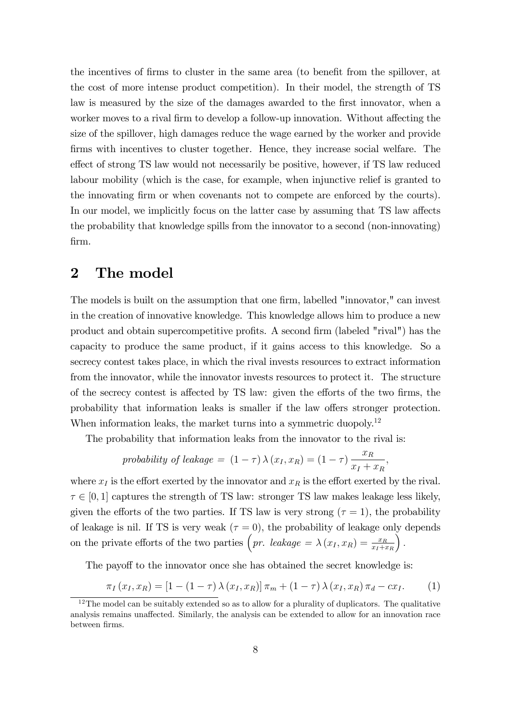the incentives of firms to cluster in the same area (to benefit from the spillover, at the cost of more intense product competition). In their model, the strength of TS law is measured by the size of the damages awarded to the first innovator, when a worker moves to a rival firm to develop a follow-up innovation. Without affecting the size of the spillover, high damages reduce the wage earned by the worker and provide firms with incentives to cluster together. Hence, they increase social welfare. The effect of strong TS law would not necessarily be positive, however, if TS law reduced labour mobility (which is the case, for example, when injunctive relief is granted to the innovating firm or when covenants not to compete are enforced by the courts). In our model, we implicitly focus on the latter case by assuming that TS law affects the probability that knowledge spills from the innovator to a second (non-innovating) Örm.

### 2 The model

The models is built on the assumption that one firm, labelled "innovator," can invest in the creation of innovative knowledge. This knowledge allows him to produce a new product and obtain supercompetitive profits. A second firm (labeled "rival") has the capacity to produce the same product, if it gains access to this knowledge. So a secrecy contest takes place, in which the rival invests resources to extract information from the innovator, while the innovator invests resources to protect it. The structure of the secrecy contest is affected by TS law: given the efforts of the two firms, the probability that information leaks is smaller if the law offers stronger protection. When information leaks, the market turns into a symmetric duopoly.<sup>12</sup>

The probability that information leaks from the innovator to the rival is:

probability of leakage = 
$$
(1 - \tau) \lambda(x_I, x_R) = (1 - \tau) \frac{x_R}{x_I + x_R}
$$
,

where  $x_I$  is the effort exerted by the innovator and  $x_R$  is the effort exerted by the rival.  $\tau \in [0, 1]$  captures the strength of TS law: stronger TS law makes leakage less likely, given the efforts of the two parties. If TS law is very strong ( $\tau = 1$ ), the probability of leakage is nil. If TS is very weak  $(\tau = 0)$ , the probability of leakage only depends on the private efforts of the two parties  $\left( pr. \text{ } leakage = \lambda (x_I, x_R) = \frac{x_R}{x_I + x_R} \right)$  $\big).$ 

The payoff to the innovator once she has obtained the secret knowledge is:

$$
\pi_I(x_I, x_R) = \left[1 - (1 - \tau)\lambda(x_I, x_R)\right]\pi_m + (1 - \tau)\lambda(x_I, x_R)\pi_d - cx_I.
$$
 (1)

 $12$ The model can be suitably extended so as to allow for a plurality of duplicators. The qualitative analysis remains unaffected. Similarly, the analysis can be extended to allow for an innovation race between firms.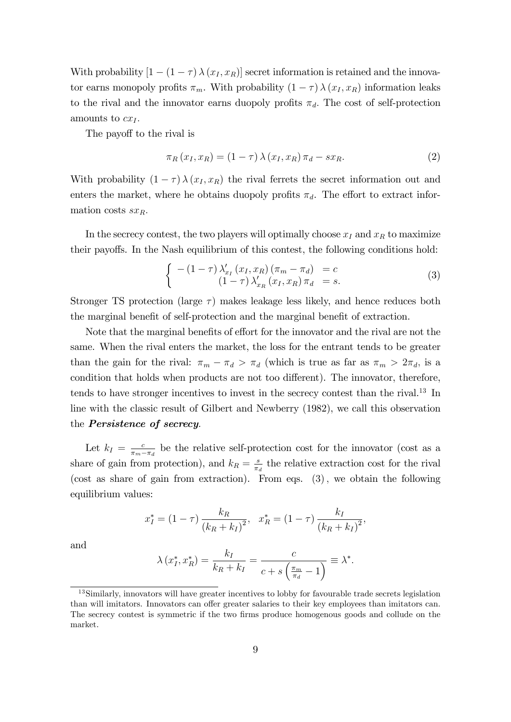With probability  $[1 - (1 - \tau) \lambda (x_I, x_R)]$  secret information is retained and the innovator earns monopoly profits  $\pi_m$ . With probability  $(1 - \tau) \lambda(x_I, x_R)$  information leaks to the rival and the innovator earns duopoly profits  $\pi_d$ . The cost of self-protection amounts to  $cx_I$ .

The payoff to the rival is

$$
\pi_R(x_I, x_R) = (1 - \tau) \lambda(x_I, x_R) \pi_d - sx_R. \tag{2}
$$

With probability  $(1 - \tau) \lambda(x_I, x_R)$  the rival ferrets the secret information out and enters the market, where he obtains duopoly profits  $\pi_d$ . The effort to extract information costs  $sx_R$ .

In the secrecy contest, the two players will optimally choose  $x_I$  and  $x_R$  to maximize their payoffs. In the Nash equilibrium of this contest, the following conditions hold:

$$
\begin{cases}\n-(1-\tau)\lambda'_{x_I}(x_I, x_R)(\pi_m - \pi_d) &= c \\
(1-\tau)\lambda'_{x_R}(x_I, x_R)\pi_d &= s.\n\end{cases}
$$
\n(3)

Stronger TS protection (large  $\tau$ ) makes leakage less likely, and hence reduces both the marginal benefit of self-protection and the marginal benefit of extraction.

Note that the marginal benefits of effort for the innovator and the rival are not the same. When the rival enters the market, the loss for the entrant tends to be greater than the gain for the rival:  $\pi_m - \pi_d > \pi_d$  (which is true as far as  $\pi_m > 2\pi_d$ , is a condition that holds when products are not too different). The innovator, therefore, tends to have stronger incentives to invest in the secrecy contest than the rival.<sup>13</sup> In line with the classic result of Gilbert and Newberry (1982), we call this observation the Persistence of secrecy.

Let  $k_I = \frac{c}{\pi m}$  $\frac{c}{\pi_m - \pi_d}$  be the relative self-protection cost for the innovator (cost as a share of gain from protection), and  $k_R = \frac{s}{\pi}$  $\frac{s}{\pi_d}$  the relative extraction cost for the rival (cost as share of gain from extraction). From eqs.  $(3)$ , we obtain the following equilibrium values:

$$
x_I^* = (1 - \tau) \frac{k_R}{(k_R + k_I)^2}, \quad x_R^* = (1 - \tau) \frac{k_I}{(k_R + k_I)^2},
$$

and

$$
\lambda (x_I^*, x_R^*) = \frac{k_I}{k_R + k_I} = \frac{c}{c + s \left(\frac{\pi_m}{\pi_d} - 1\right)} \equiv \lambda^*.
$$

<sup>&</sup>lt;sup>13</sup>Similarly, innovators will have greater incentives to lobby for favourable trade secrets legislation than will imitators. Innovators can offer greater salaries to their key employees than imitators can. The secrecy contest is symmetric if the two firms produce homogenous goods and collude on the market: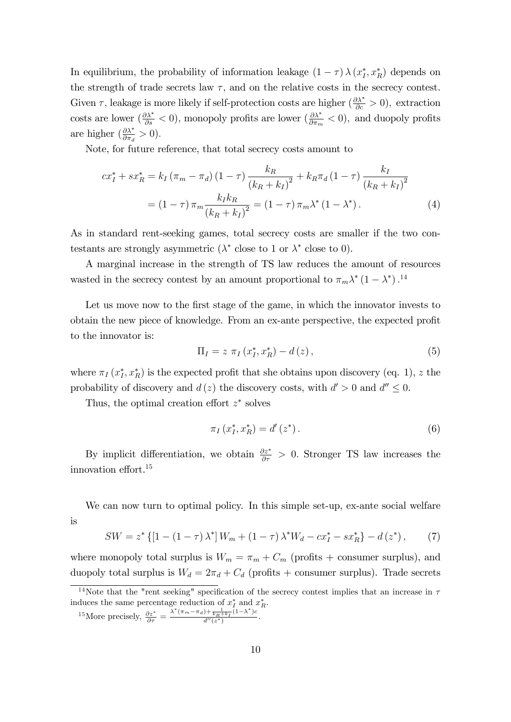In equilibrium, the probability of information leakage  $(1 - \tau) \lambda (x_I^*, x_R^*)$  depends on the strength of trade secrets law  $\tau$ , and on the relative costs in the secrecy contest. Given  $\tau$ , leakage is more likely if self-protection costs are higher  $(\frac{\partial \lambda^*}{\partial c} > 0)$ , extraction costs are lower  $(\frac{\partial \lambda^*}{\partial s} < 0)$ , monopoly profits are lower  $(\frac{\partial \lambda^*}{\partial \pi_m} < 0)$ , and duopoly profits are higher  $(\frac{\partial \lambda^*}{\partial \pi_d} > 0)$ .

Note, for future reference, that total secrecy costs amount to

$$
cx_{I}^{*} + sx_{R}^{*} = k_{I} (\pi_{m} - \pi_{d}) (1 - \tau) \frac{k_{R}}{(k_{R} + k_{I})^{2}} + k_{R} \pi_{d} (1 - \tau) \frac{k_{I}}{(k_{R} + k_{I})^{2}}
$$

$$
= (1 - \tau) \pi_{m} \frac{k_{I} k_{R}}{(k_{R} + k_{I})^{2}} = (1 - \tau) \pi_{m} \lambda^{*} (1 - \lambda^{*}). \tag{4}
$$

As in standard rent-seeking games, total secrecy costs are smaller if the two contestants are strongly asymmetric ( $\lambda^*$  close to 1 or  $\lambda^*$  close to 0).

A marginal increase in the strength of TS law reduces the amount of resources wasted in the secrecy contest by an amount proportional to  $\pi_m \lambda^* (1 - \lambda^*)$ .<sup>14</sup>

Let us move now to the first stage of the game, in which the innovator invests to obtain the new piece of knowledge. From an ex-ante perspective, the expected profit to the innovator is:

$$
\Pi_{I} = z \pi_{I} (x_{I}^{*}, x_{R}^{*}) - d(z), \qquad (5)
$$

where  $\pi_I(x_I^*, x_R^*)$  is the expected profit that she obtains upon discovery (eq. 1), z the probability of discovery and  $d(z)$  the discovery costs, with  $d' > 0$  and  $d'' \leq 0$ .

Thus, the optimal creation effort  $z^*$  solves

$$
\pi_I(x_I^*, x_R^*) = d'(z^*).
$$
\n(6)

By implicit differentiation, we obtain  $\frac{\partial z^*}{\partial \tau} > 0$ . Stronger TS law increases the innovation effort.  $^{15}$ 

We can now turn to optimal policy. In this simple set-up, ex-ante social welfare is

$$
SW = z^* \left\{ \left[ 1 - (1 - \tau) \lambda^* \right] W_m + (1 - \tau) \lambda^* W_d - cx_I^* - sx_R^* \right\} - d(z^*), \tag{7}
$$

where monopoly total surplus is  $W_m = \pi_m + C_m$  (profits + consumer surplus), and duopoly total surplus is  $W_d = 2\pi_d + C_d$  (profits + consumer surplus). Trade secrets

<sup>15</sup>More precisely,  $\frac{\partial z^*}{\partial \tau} = \frac{\lambda^*(\pi_m - \pi_d) + \frac{1}{k_R + k_I}(1 - \lambda^*)c}{d''(z^*)}$  $\frac{k_R+k_I^{(1-\alpha)/2}}{d''(z^*)}$ .

<sup>&</sup>lt;sup>14</sup>Note that the "rent seeking" specification of the secrecy contest implies that an increase in  $\tau$ induces the same percentage reduction of  $x_I^*$  and  $x_R^*$ .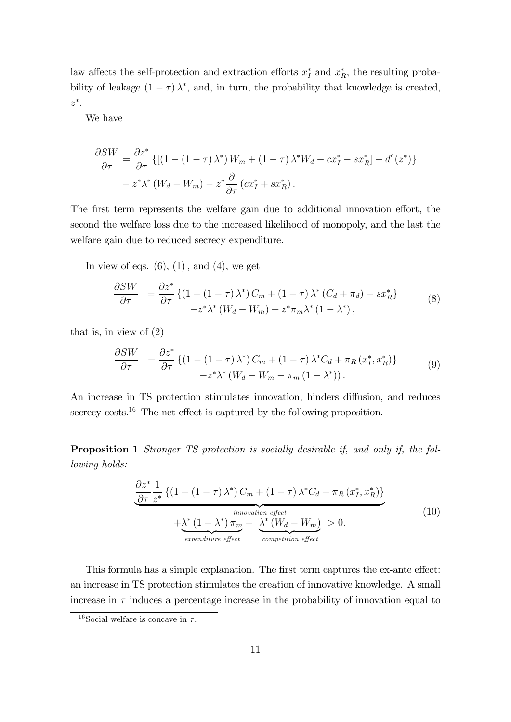law affects the self-protection and extraction efforts  $x_I^*$  and  $x_R^*$ , the resulting probability of leakage  $(1 - \tau) \lambda^*$ , and, in turn, the probability that knowledge is created,  $z^*$ .

We have

$$
\frac{\partial SW}{\partial \tau} = \frac{\partial z^*}{\partial \tau} \left\{ \left[ \left( 1 - \left( 1 - \tau \right) \lambda^* \right) W_m + \left( 1 - \tau \right) \lambda^* W_d - cx_I^* - sx_R^* \right] - d'(z^*) \right\} - z^* \lambda^* \left( W_d - W_m \right) - z^* \frac{\partial}{\partial \tau} \left( cx_I^* + sx_R^* \right).
$$

The first term represents the welfare gain due to additional innovation effort, the second the welfare loss due to the increased likelihood of monopoly, and the last the welfare gain due to reduced secrecy expenditure.

In view of eqs.  $(6)$ ,  $(1)$ , and  $(4)$ , we get

$$
\frac{\partial SW}{\partial \tau} = \frac{\partial z^*}{\partial \tau} \left\{ \left( 1 - (1 - \tau) \lambda^* \right) C_m + (1 - \tau) \lambda^* \left( C_d + \pi_d \right) - s x_R^* \right\} \n- z^* \lambda^* \left( W_d - W_m \right) + z^* \pi_m \lambda^* \left( 1 - \lambda^* \right),
$$
\n(8)

that is, in view of (2)

$$
\frac{\partial SW}{\partial \tau} = \frac{\partial z^*}{\partial \tau} \left\{ \left( 1 - (1 - \tau) \lambda^* \right) C_m + (1 - \tau) \lambda^* C_d + \pi_R (x_I^*, x_R^*) \right\} \n- z^* \lambda^* (W_d - W_m - \pi_m (1 - \lambda^*)).
$$
\n(9)

An increase in TS protection stimulates innovation, hinders diffusion, and reduces secrecy costs.<sup>16</sup> The net effect is captured by the following proposition.

Proposition 1 Stronger TS protection is socially desirable if, and only if, the following holds:

$$
\frac{\partial z^*}{\partial \tau} \frac{1}{z^*} \left\{ \left( 1 - (1 - \tau) \lambda^* \right) C_m + (1 - \tau) \lambda^* C_d + \pi_R \left( x_I^*, x_R^* \right) \right\} + \frac{\lambda^* (1 - \lambda^*) \pi_m - \lambda^* (W_d - W_m)}{\sum_{\substack{expendature effect}} \lambda^* (W_d - W_m)} > 0.
$$
\n(10)

This formula has a simple explanation. The first term captures the ex-ante effect: an increase in TS protection stimulates the creation of innovative knowledge. A small increase in  $\tau$  induces a percentage increase in the probability of innovation equal to

<sup>&</sup>lt;sup>16</sup>Social welfare is concave in  $\tau$ .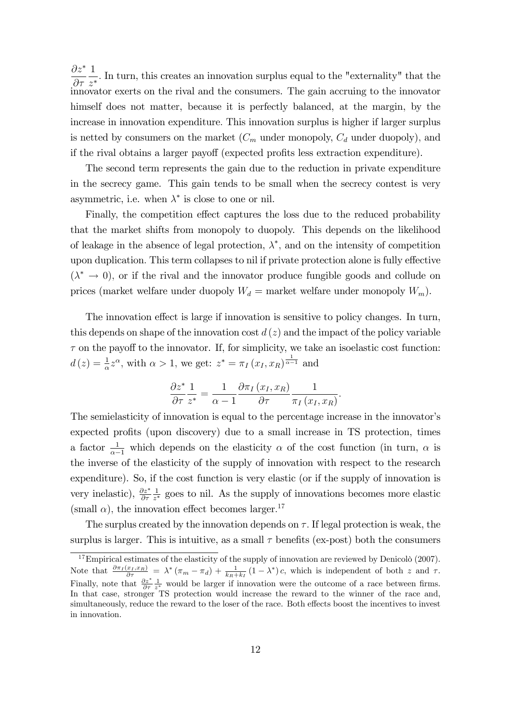$\partial z^*$  $\partial \tau$ 1  $\frac{1}{z^*}$ . In turn, this creates an innovation surplus equal to the "externality" that the innovator exerts on the rival and the consumers. The gain accruing to the innovator himself does not matter, because it is perfectly balanced, at the margin, by the increase in innovation expenditure: This innovation surplus is higher if larger surplus is netted by consumers on the market  $(C_m$  under monopoly,  $C_d$  under duopoly), and if the rival obtains a larger payoff (expected profits less extraction expenditure).

The second term represents the gain due to the reduction in private expenditure in the secrecy game. This gain tends to be small when the secrecy contest is very asymmetric, i.e. when  $\lambda^*$  is close to one or nil.

Finally, the competition effect captures the loss due to the reduced probability that the market shifts from monopoly to duopoly. This depends on the likelihood of leakage in the absence of legal protection,  $\lambda^*$ , and on the intensity of competition upon duplication. This term collapses to nil if private protection alone is fully effective  $(\lambda^* \to 0)$ , or if the rival and the innovator produce fungible goods and collude on prices (market welfare under duopoly  $W_d$  = market welfare under monopoly  $W_m$ ).

The innovation effect is large if innovation is sensitive to policy changes. In turn, this depends on shape of the innovation cost  $d(z)$  and the impact of the policy variable  $\tau$  on the payoff to the innovator. If, for simplicity, we take an isoelastic cost function:  $d(z) = \frac{1}{\alpha}z^{\alpha}$ , with  $\alpha > 1$ , we get:  $z^* = \pi_I(x_I, x_R)^{\frac{1}{\alpha - 1}}$  and

$$
\frac{\partial z^*}{\partial \tau} \frac{1}{z^*} = \frac{1}{\alpha - 1} \frac{\partial \pi_I(x_I, x_R)}{\partial \tau} \frac{1}{\pi_I(x_I, x_R)}.
$$

The semielasticity of innovation is equal to the percentage increase in the innovator's expected profits (upon discovery) due to a small increase in TS protection, times a factor  $\frac{1}{\alpha-1}$  which depends on the elasticity  $\alpha$  of the cost function (in turn,  $\alpha$  is the inverse of the elasticity of the supply of innovation with respect to the research expenditure). So, if the cost function is very elastic (or if the supply of innovation is very inelastic),  $\frac{\partial z^*}{\partial \tau}$ 1  $\frac{1}{z^*}$  goes to nil. As the supply of innovations becomes more elastic (small  $\alpha$ ), the innovation effect becomes larger.<sup>17</sup>

The surplus created by the innovation depends on  $\tau$ . If legal protection is weak, the surplus is larger. This is intuitive, as a small  $\tau$  benefits (ex-post) both the consumers

 $17$ Empirical estimates of the elasticity of the supply of innovation are reviewed by Denicolò (2007). Note that  $\frac{\partial \pi_I(x_I,x_R)}{\partial \tau} = \lambda^* (\pi_m - \pi_d) + \frac{1}{k_R + k_I} (1 - \lambda^*) c$ , which is independent of both z and  $\tau$ . Finally, note that  $\frac{\partial z^*}{\partial \tau} \frac{1}{z^*}$  would be larger if innovation were the outcome of a race between firms. In that case, stronger TS protection would increase the reward to the winner of the race and, simultaneously, reduce the reward to the loser of the race. Both effects boost the incentives to invest in innovation.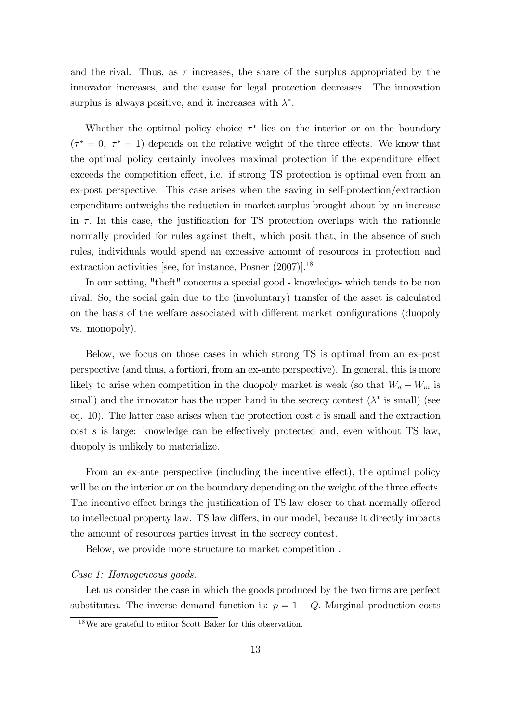and the rival. Thus, as  $\tau$  increases, the share of the surplus appropriated by the innovator increases, and the cause for legal protection decreases. The innovation surplus is always positive, and it increases with  $\lambda^*$ .

Whether the optimal policy choice  $\tau^*$  lies on the interior or on the boundary  $(\tau^* = 0, \tau^* = 1)$  depends on the relative weight of the three effects. We know that the optimal policy certainly involves maximal protection if the expenditure effect exceeds the competition effect, i.e. if strong TS protection is optimal even from an ex-post perspective. This case arises when the saving in self-protection/extraction expenditure outweighs the reduction in market surplus brought about by an increase in  $\tau$ . In this case, the justification for TS protection overlaps with the rationale normally provided for rules against theft, which posit that, in the absence of such rules, individuals would spend an excessive amount of resources in protection and extraction activities [see, for instance, Posner  $(2007)$ ].<sup>18</sup>

In our setting, "theft" concerns a special good - knowledge- which tends to be non rival. So, the social gain due to the (involuntary) transfer of the asset is calculated on the basis of the welfare associated with different market configurations (duopoly vs. monopoly).

Below, we focus on those cases in which strong TS is optimal from an ex-post perspective (and thus, a fortiori, from an ex-ante perspective). In general, this is more likely to arise when competition in the duopoly market is weak (so that  $W_d - W_m$  is small) and the innovator has the upper hand in the secrecy contest  $(\lambda^*$  is small) (see eq. 10). The latter case arises when the protection cost c is small and the extraction cost s is large: knowledge can be effectively protected and, even without TS law, duopoly is unlikely to materialize.

From an ex-ante perspective (including the incentive effect), the optimal policy will be on the interior or on the boundary depending on the weight of the three effects. The incentive effect brings the justification of TS law closer to that normally offered to intellectual property law. TS law differs, in our model, because it directly impacts the amount of resources parties invest in the secrecy contest.

Below, we provide more structure to market competition .

#### Case 1: Homogeneous goods.

Let us consider the case in which the goods produced by the two firms are perfect substitutes. The inverse demand function is:  $p = 1 - Q$ . Marginal production costs

<sup>18</sup>We are grateful to editor Scott Baker for this observation.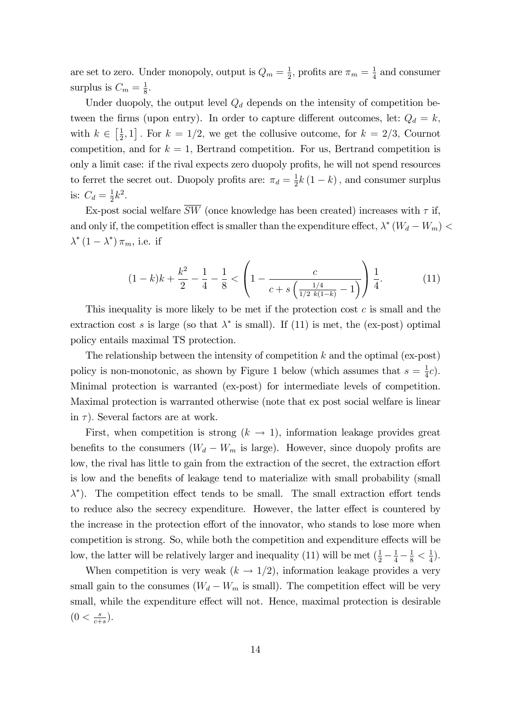are set to zero. Under monopoly, output is  $Q_m = \frac{1}{2}$  $\frac{1}{2}$ , profits are  $\pi_m = \frac{1}{4}$  $\frac{1}{4}$  and consumer surplus is  $C_m = \frac{1}{8}$  $\frac{1}{8}$ .

Under duopoly, the output level  $Q_d$  depends on the intensity of competition between the firms (upon entry). In order to capture different outcomes, let:  $Q_d = k$ , with  $k \in \left[\frac{1}{2}\right]$  $\frac{1}{2}$ , 1]. For  $k = 1/2$ , we get the collusive outcome, for  $k = 2/3$ , Cournot competition, and for  $k = 1$ , Bertrand competition. For us, Bertrand competition is only a limit case: if the rival expects zero duopoly profits, he will not spend resources to ferret the secret out. Duopoly profits are:  $\pi_d = \frac{1}{2}$  $\frac{1}{2}k(1-k)$ , and consumer surplus is:  $C_d = \frac{1}{2}$  $\frac{1}{2}k^2$ .

Ex-post social welfare  $\overline{SW}$  (once knowledge has been created) increases with  $\tau$  if, and only if, the competition effect is smaller than the expenditure effect,  $\lambda^*(W_d - W_m)$  <  $\lambda^*$   $(1 - \lambda^*) \pi_m$ , i.e. if

$$
(1-k)k + \frac{k^2}{2} - \frac{1}{4} - \frac{1}{8} < \left(1 - \frac{c}{c + s\left(\frac{1/4}{1/2}\right)k(1-k)}\right)\frac{1}{4}.\tag{11}
$$

This inequality is more likely to be met if the protection cost  $c$  is small and the extraction cost s is large (so that  $\lambda^*$  is small). If (11) is met, the (ex-post) optimal policy entails maximal TS protection.

The relationship between the intensity of competition  $k$  and the optimal (ex-post) policy is non-monotonic, as shown by Figure 1 below (which assumes that  $s=\frac{1}{4}$  $(\frac{1}{4}c).$ Minimal protection is warranted (ex-post) for intermediate levels of competition. Maximal protection is warranted otherwise (note that ex post social welfare is linear in  $\tau$ ). Several factors are at work.

First, when competition is strong  $(k \to 1)$ , information leakage provides great benefits to the consumers  $(W_d - W_m$  is large). However, since duopoly profits are low, the rival has little to gain from the extraction of the secret, the extraction effort is low and the benefits of leakage tend to materialize with small probability (small  $\lambda^*$ ). The competition effect tends to be small. The small extraction effort tends to reduce also the secrecy expenditure. However, the latter effect is countered by the increase in the protection effort of the innovator, who stands to lose more when competition is strong. So, while both the competition and expenditure effects will be low, the latter will be relatively larger and inequality (11) will be met  $(\frac{1}{2} - \frac{1}{4} - \frac{1}{8} < \frac{1}{4})$  $(\frac{1}{4})$ .

When competition is very weak  $(k \rightarrow 1/2)$ , information leakage provides a very small gain to the consumes  $(W_d - W_m)$  is small). The competition effect will be very small, while the expenditure effect will not. Hence, maximal protection is desirable  $(0 < \frac{s}{c^{+}})$  $\frac{s}{c+s}$ ).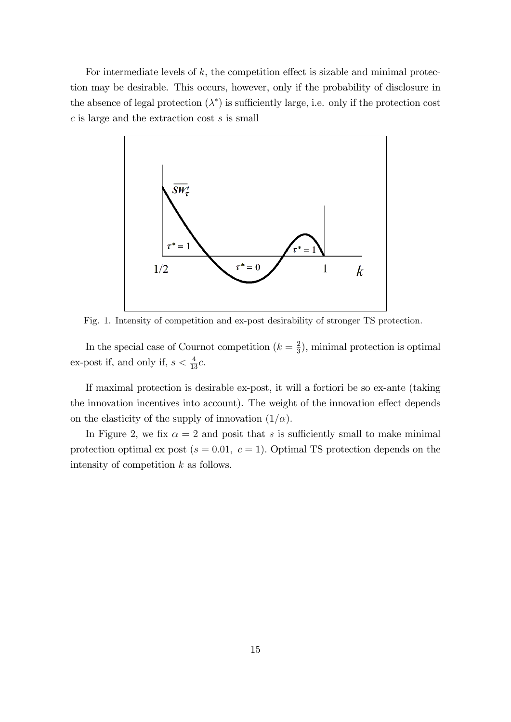For intermediate levels of  $k$ , the competition effect is sizable and minimal protection may be desirable. This occurs, however, only if the probability of disclosure in the absence of legal protection  $(\lambda^*)$  is sufficiently large, i.e. only if the protection cost  $c$  is large and the extraction cost  $s$  is small



Fig. 1. Intensity of competition and ex-post desirability of stronger TS protection.

In the special case of Cournot competition  $(k=\frac{2}{3})$  $(\frac{2}{3})$ , minimal protection is optimal ex-post if, and only if,  $s < \frac{4}{13}c$ .

If maximal protection is desirable ex-post, it will a fortiori be so ex-ante (taking the innovation incentives into account). The weight of the innovation effect depends on the elasticity of the supply of innovation  $(1/\alpha)$ .

In Figure 2, we fix  $\alpha = 2$  and posit that s is sufficiently small to make minimal protection optimal ex post ( $s = 0.01$ ,  $c = 1$ ). Optimal TS protection depends on the intensity of competition  $k$  as follows.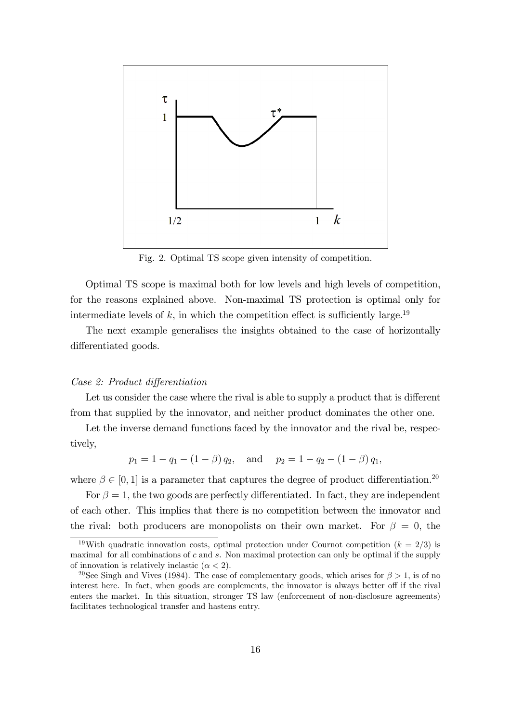

Fig. 2. Optimal TS scope given intensity of competition.

Optimal TS scope is maximal both for low levels and high levels of competition, for the reasons explained above. Non-maximal TS protection is optimal only for intermediate levels of k, in which the competition effect is sufficiently large.<sup>19</sup>

The next example generalises the insights obtained to the case of horizontally differentiated goods.

#### Case 2: Product differentiation

Let us consider the case where the rival is able to supply a product that is different from that supplied by the innovator, and neither product dominates the other one.

Let the inverse demand functions faced by the innovator and the rival be, respectively,

$$
p_1 = 1 - q_1 - (1 - \beta) q_2
$$
, and  $p_2 = 1 - q_2 - (1 - \beta) q_1$ ,

where  $\beta \in [0, 1]$  is a parameter that captures the degree of product differentiation.<sup>20</sup>

For  $\beta = 1$ , the two goods are perfectly differentiated. In fact, they are independent of each other. This implies that there is no competition between the innovator and the rival: both producers are monopolists on their own market. For  $\beta = 0$ , the

<sup>&</sup>lt;sup>19</sup>With quadratic innovation costs, optimal protection under Cournot competition ( $k = 2/3$ ) is maximal for all combinations of  $c$  and  $s$ . Non maximal protection can only be optimal if the supply of innovation is relatively inelastic  $(\alpha < 2)$ .

<sup>&</sup>lt;sup>20</sup>See Singh and Vives (1984). The case of complementary goods, which arises for  $\beta > 1$ , is of no interest here. In fact, when goods are complements, the innovator is always better off if the rival enters the market. In this situation, stronger TS law (enforcement of non-disclosure agreements) facilitates technological transfer and hastens entry.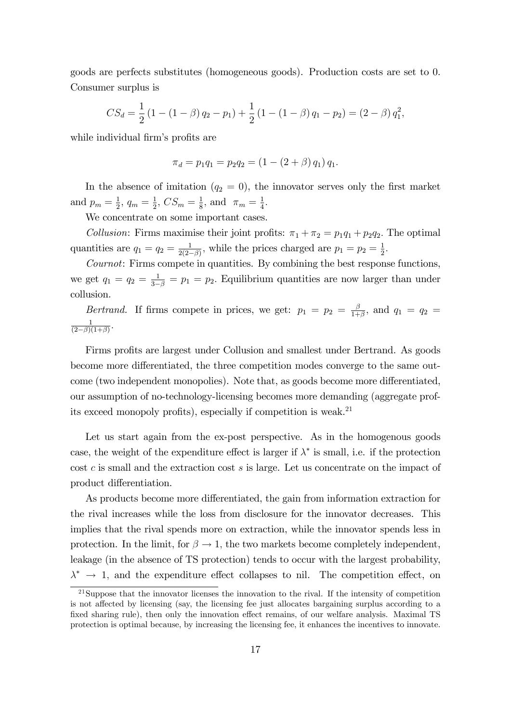goods are perfects substitutes (homogeneous goods). Production costs are set to 0. Consumer surplus is

$$
CS_d = \frac{1}{2} (1 - (1 - \beta) q_2 - p_1) + \frac{1}{2} (1 - (1 - \beta) q_1 - p_2) = (2 - \beta) q_1^2,
$$

while individual firm's profits are

$$
\pi_d = p_1 q_1 = p_2 q_2 = (1 - (2 + \beta) q_1) q_1.
$$

In the absence of imitation  $(q_2 = 0)$ , the innovator serves only the first market and  $p_m = \frac{1}{2}$  $\frac{1}{2}, q_m = \frac{1}{2}$  $\frac{1}{2}$ ,  $CS_m = \frac{1}{8}$  $\frac{1}{8}$ , and  $\pi_m = \frac{1}{4}$  $\frac{1}{4}$ .

We concentrate on some important cases.

Collusion: Firms maximise their joint profits:  $\pi_1 + \pi_2 = p_1q_1 + p_2q_2$ . The optimal quantities are  $q_1 = q_2 = \frac{1}{2(2-1)}$  $\frac{1}{2(2-\beta)}$ , while the prices charged are  $p_1 = p_2 = \frac{1}{2}$  $rac{1}{2}$ .

Cournot: Firms compete in quantities. By combining the best response functions, we get  $q_1 = q_2 = \frac{1}{3-\beta} = p_1 = p_2$ . Equilibrium quantities are now larger than under collusion.

*Bertrand.* If firms compete in prices, we get:  $p_1 = p_2 = \frac{\beta}{1+\beta}$  $\frac{\beta}{1+\beta}$ , and  $q_1 = q_2 =$ 1  $\frac{1}{(2-\beta)(1+\beta)}$ .

Firms profits are largest under Collusion and smallest under Bertrand. As goods become more differentiated, the three competition modes converge to the same outcome (two independent monopolies). Note that, as goods become more differentiated, our assumption of no-technology-licensing becomes more demanding (aggregate profits exceed monopoly profits), especially if competition is weak. $21$ 

Let us start again from the ex-post perspective. As in the homogenous goods case, the weight of the expenditure effect is larger if  $\lambda^*$  is small, i.e. if the protection  $\cot c$  is small and the extraction cost s is large. Let us concentrate on the impact of product differentiation.

As products become more differentiated, the gain from information extraction for the rival increases while the loss from disclosure for the innovator decreases. This implies that the rival spends more on extraction, while the innovator spends less in protection. In the limit, for  $\beta \to 1$ , the two markets become completely independent, leakage (in the absence of TS protection) tends to occur with the largest probability,  $\lambda^* \rightarrow 1$ , and the expenditure effect collapses to nil. The competition effect, on

<sup>&</sup>lt;sup>21</sup>Suppose that the innovator licenses the innovation to the rival. If the intensity of competition is not affected by licensing (say, the licensing fee just allocates bargaining surplus according to a fixed sharing rule), then only the innovation effect remains, of our welfare analysis. Maximal TS protection is optimal because, by increasing the licensing fee, it enhances the incentives to innovate.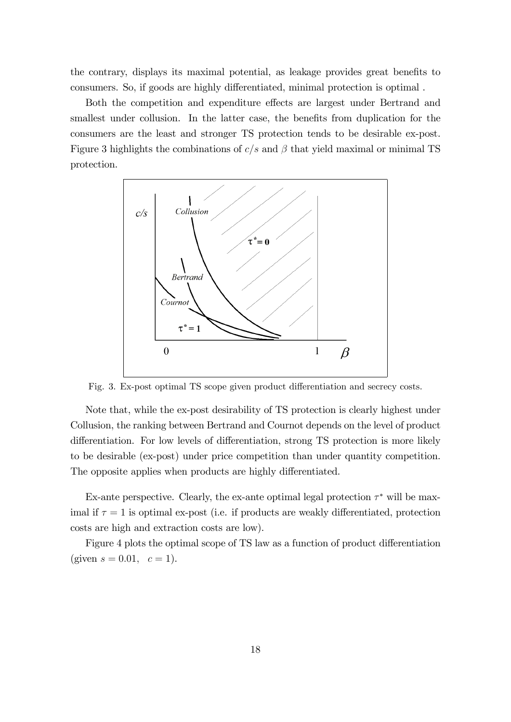the contrary, displays its maximal potential, as leakage provides great benefits to consumers. So, if goods are highly differentiated, minimal protection is optimal.

Both the competition and expenditure effects are largest under Bertrand and smallest under collusion. In the latter case, the benefits from duplication for the consumers are the least and stronger TS protection tends to be desirable ex-post. Figure 3 highlights the combinations of  $c/s$  and  $\beta$  that yield maximal or minimal TS protection.



Fig. 3. Ex-post optimal TS scope given product differentiation and secrecy costs.

Note that, while the ex-post desirability of TS protection is clearly highest under Collusion, the ranking between Bertrand and Cournot depends on the level of product differentiation. For low levels of differentiation, strong TS protection is more likely to be desirable (ex-post) under price competition than under quantity competition. The opposite applies when products are highly differentiated.

Ex-ante perspective. Clearly, the ex-ante optimal legal protection  $\tau^*$  will be maximal if  $\tau = 1$  is optimal ex-post (i.e. if products are weakly differentiated, protection costs are high and extraction costs are low).

Figure 4 plots the optimal scope of TS law as a function of product differentiation (given  $s = 0.01, c = 1$ ).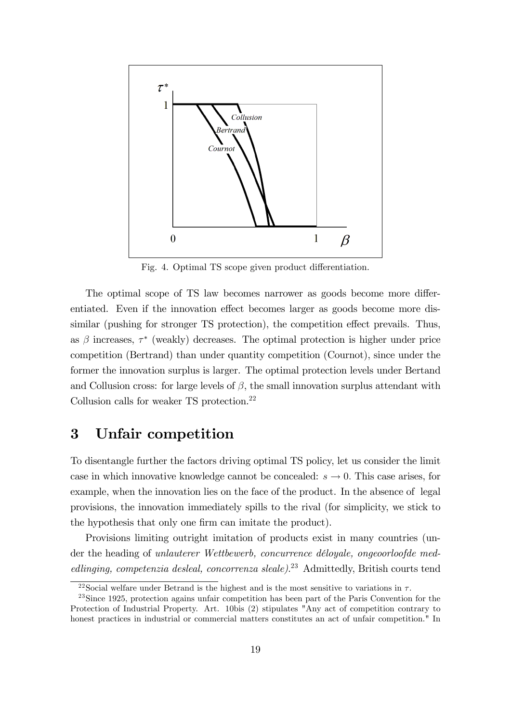

Fig. 4. Optimal TS scope given product differentiation.

The optimal scope of TS law becomes narrower as goods become more differentiated. Even if the innovation effect becomes larger as goods become more dissimilar (pushing for stronger TS protection), the competition effect prevails. Thus, as  $\beta$  increases,  $\tau^*$  (weakly) decreases. The optimal protection is higher under price competition (Bertrand) than under quantity competition (Cournot), since under the former the innovation surplus is larger. The optimal protection levels under Bertand and Collusion cross: for large levels of  $\beta$ , the small innovation surplus attendant with Collusion calls for weaker TS protection.<sup>22</sup>

## 3 Unfair competition

To disentangle further the factors driving optimal TS policy, let us consider the limit case in which innovative knowledge cannot be concealed:  $s \to 0$ . This case arises, for example, when the innovation lies on the face of the product. In the absence of legal provisions, the innovation immediately spills to the rival (for simplicity, we stick to the hypothesis that only one firm can imitate the product).

Provisions limiting outright imitation of products exist in many countries (under the heading of unlauterer Wettbewerb, concurrence déloyale, ongeoorloofde mededlinging, competenzia desleal, concorrenza sleale).<sup>23</sup> Admittedly, British courts tend

<sup>&</sup>lt;sup>22</sup>Social welfare under Betrand is the highest and is the most sensitive to variations in  $\tau$ .

<sup>&</sup>lt;sup>23</sup>Since 1925, protection agains unfair competition has been part of the Paris Convention for the Protection of Industrial Property. Art. 10bis (2) stipulates "Any act of competition contrary to honest practices in industrial or commercial matters constitutes an act of unfair competition." In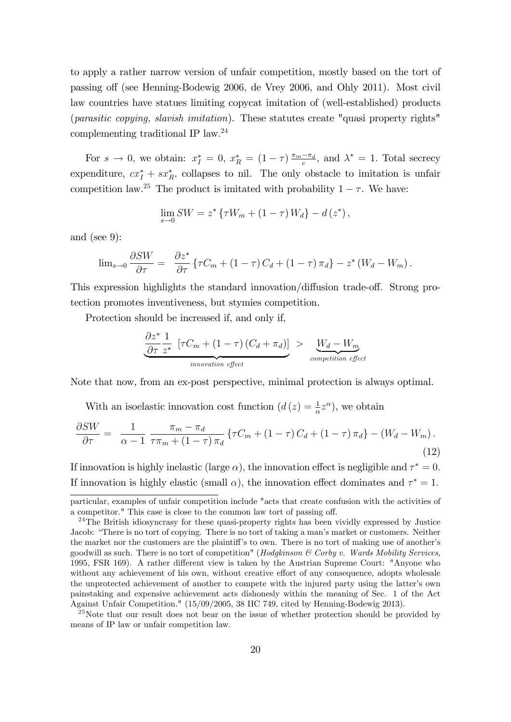to apply a rather narrow version of unfair competition, mostly based on the tort of passing off (see Henning-Bodewig 2006, de Vrey 2006, and Ohly 2011). Most civil law countries have statues limiting copycat imitation of (well-established) products (parasitic copying, slavish imitation). These statutes create "quasi property rights" complementing traditional IP law.<sup>24</sup>

For  $s \to 0$ , we obtain:  $x_I^* = 0$ ,  $x_R^* = (1 - \tau) \frac{\pi_m - \pi_d}{c}$ , and  $\lambda^* = 1$ . Total secrecy expenditure,  $cx_I^* + sx_R^*$ , collapses to nil. The only obstacle to imitation is unfair competition law.<sup>25</sup> The product is imitated with probability  $1 - \tau$ . We have:

$$
\lim_{s \to 0} SW = z^* \{ \tau W_m + (1 - \tau) W_d \} - d(z^*),
$$

and (see 9):

$$
\lim_{s \to 0} \frac{\partial SW}{\partial \tau} = \frac{\partial z^*}{\partial \tau} \left\{ \tau C_m + (1 - \tau) C_d + (1 - \tau) \pi_d \right\} - z^* \left( W_d - W_m \right).
$$

This expression highlights the standard innovation/diffusion trade-off. Strong protection promotes inventiveness, but stymies competition.

Protection should be increased if, and only if,

$$
\frac{\partial z^*}{\partial \tau} \frac{1}{z^*} \left[ \tau C_m + (1 - \tau) \left( C_d + \pi_d \right) \right] > \underbrace{W_d - W_m}_{\text{composition effect}}
$$

Note that now, from an ex-post perspective, minimal protection is always optimal.

With an isoelastic innovation cost function  $(d(z) = \frac{1}{\alpha}z^{\alpha})$ , we obtain

$$
\frac{\partial SW}{\partial \tau} = \frac{1}{\alpha - 1} \frac{\pi_m - \pi_d}{\tau \pi_m + (1 - \tau) \pi_d} \left\{ \tau C_m + (1 - \tau) C_d + (1 - \tau) \pi_d \right\} - (W_d - W_m). \tag{12}
$$

If innovation is highly inelastic (large  $\alpha$ ), the innovation effect is negligible and  $\tau^* = 0$ . If innovation is highly elastic (small  $\alpha$ ), the innovation effect dominates and  $\tau^* = 1$ .

particular, examples of unfair competition include "acts that create confusion with the activities of a competitor." This case is close to the common law tort of passing off.

<sup>&</sup>lt;sup>24</sup>The British idiosyncrasy for these quasi-property rights has been vividly expressed by Justice Jacob: "There is no tort of copying. There is no tort of taking a man's market or customers. Neither the market nor the customers are the plaintiff's to own. There is no tort of making use of another's goodwill as such. There is no tort of competition" (Hodgkinson  $\mathcal C$  Corby v. Wards Mobility Services, 1995, FSR 169). A rather different view is taken by the Austrian Supreme Court: "Anyone who without any achievement of his own, without creative effort of any consequence, adopts wholesale the unprotected achievement of another to compete with the injured party using the latter's own painstaking and expensive achievement acts dishonesly within the meaning of Sec. 1 of the Act Against Unfair Competition." (15/09/2005, 38 IIC 749, cited by Henning-Bodewig 2013).

 $^{25}$ Note that our result does not bear on the issue of whether protection should be provided by means of IP law or unfair competition law.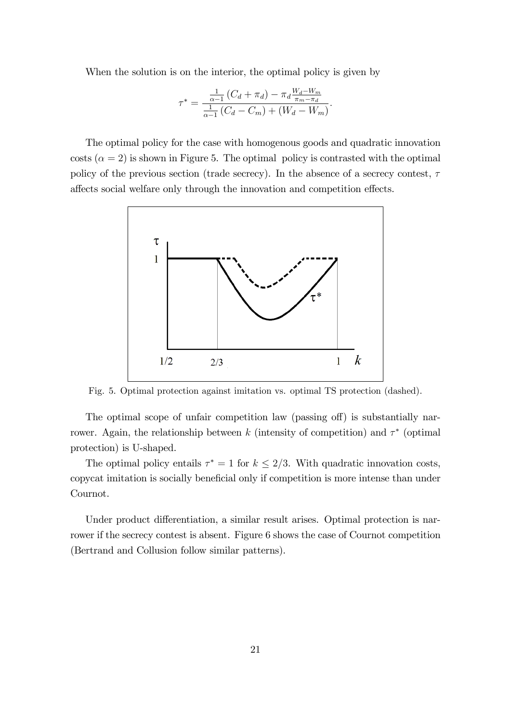When the solution is on the interior, the optimal policy is given by

$$
\tau^* = \frac{\frac{1}{\alpha - 1} \left( C_d + \pi_d \right) - \pi_d \frac{W_d - W_m}{\pi_m - \pi_d}}{\frac{1}{\alpha - 1} \left( C_d - C_m \right) + \left( W_d - W_m \right)}.
$$

The optimal policy for the case with homogenous goods and quadratic innovation costs ( $\alpha = 2$ ) is shown in Figure 5. The optimal policy is contrasted with the optimal policy of the previous section (trade secrecy). In the absence of a secrecy contest,  $\tau$ affects social welfare only through the innovation and competition effects.



Fig. 5. Optimal protection against imitation vs. optimal TS protection (dashed).

The optimal scope of unfair competition law (passing off) is substantially narrower. Again, the relationship between  $k$  (intensity of competition) and  $\tau^*$  (optimal protection) is U-shaped.

The optimal policy entails  $\tau^* = 1$  for  $k \leq 2/3$ . With quadratic innovation costs, copycat imitation is socially beneficial only if competition is more intense than under Cournot.

Under product differentiation, a similar result arises. Optimal protection is narrower if the secrecy contest is absent. Figure 6 shows the case of Cournot competition (Bertrand and Collusion follow similar patterns).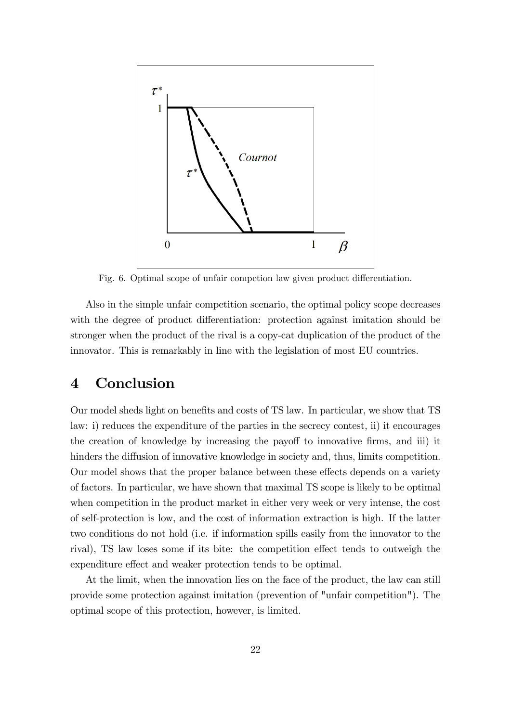

Fig. 6. Optimal scope of unfair competion law given product differentiation.

Also in the simple unfair competition scenario, the optimal policy scope decreases with the degree of product differentiation: protection against imitation should be stronger when the product of the rival is a copy-cat duplication of the product of the innovator. This is remarkably in line with the legislation of most EU countries.

# 4 Conclusion

Our model sheds light on benefits and costs of TS law. In particular, we show that TS law: i) reduces the expenditure of the parties in the secrecy contest, ii) it encourages the creation of knowledge by increasing the payoff to innovative firms, and iii) it hinders the diffusion of innovative knowledge in society and, thus, limits competition. Our model shows that the proper balance between these effects depends on a variety of factors. In particular, we have shown that maximal TS scope is likely to be optimal when competition in the product market in either very week or very intense, the cost of self-protection is low, and the cost of information extraction is high. If the latter two conditions do not hold (i.e. if information spills easily from the innovator to the rival), TS law loses some if its bite: the competition effect tends to outweigh the expenditure effect and weaker protection tends to be optimal.

At the limit, when the innovation lies on the face of the product, the law can still provide some protection against imitation (prevention of "unfair competition"). The optimal scope of this protection, however, is limited.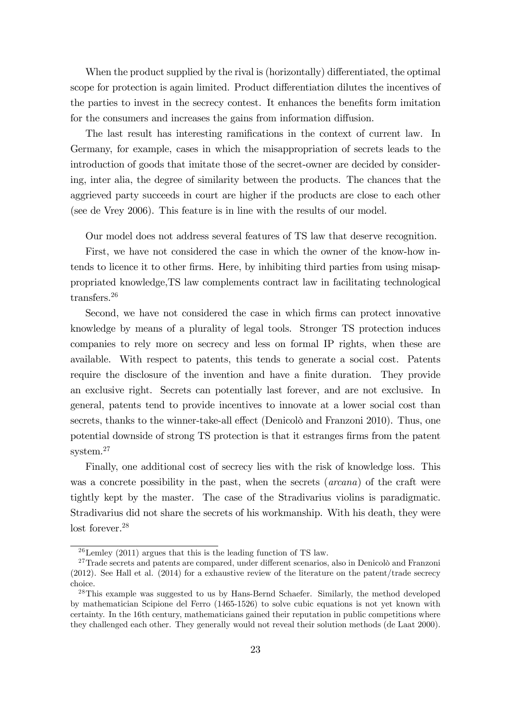When the product supplied by the rival is (horizontally) differentiated, the optimal scope for protection is again limited. Product differentiation dilutes the incentives of the parties to invest in the secrecy contest. It enhances the benefits form imitation for the consumers and increases the gains from information diffusion.

The last result has interesting ramifications in the context of current law. In Germany, for example, cases in which the misappropriation of secrets leads to the introduction of goods that imitate those of the secret-owner are decided by considering, inter alia, the degree of similarity between the products. The chances that the aggrieved party succeeds in court are higher if the products are close to each other (see de Vrey 2006). This feature is in line with the results of our model.

Our model does not address several features of TS law that deserve recognition.

First, we have not considered the case in which the owner of the know-how intends to licence it to other firms. Here, by inhibiting third parties from using misappropriated knowledge,TS law complements contract law in facilitating technological transfers.<sup>26</sup>

Second, we have not considered the case in which firms can protect innovative knowledge by means of a plurality of legal tools. Stronger TS protection induces companies to rely more on secrecy and less on formal IP rights, when these are available. With respect to patents, this tends to generate a social cost. Patents require the disclosure of the invention and have a finite duration. They provide an exclusive right. Secrets can potentially last forever, and are not exclusive. In general, patents tend to provide incentives to innovate at a lower social cost than secrets, thanks to the winner-take-all effect (Denicolo and Franzoni 2010). Thus, one potential downside of strong TS protection is that it estranges firms from the patent system.<sup>27</sup>

Finally, one additional cost of secrecy lies with the risk of knowledge loss. This was a concrete possibility in the past, when the secrets (*arcana*) of the craft were tightly kept by the master. The case of the Stradivarius violins is paradigmatic. Stradivarius did not share the secrets of his workmanship. With his death, they were lost forever.<sup>28</sup>

 $^{26}$ Lemley (2011) argues that this is the leading function of TS law.

 $27$ Trade secrets and patents are compared, under different scenarios, also in Denicolò and Franzoni (2012). See Hall et al. (2014) for a exhaustive review of the literature on the patent/trade secrecy choice.

<sup>&</sup>lt;sup>28</sup>This example was suggested to us by Hans-Bernd Schaefer. Similarly, the method developed by mathematician Scipione del Ferro (1465-1526) to solve cubic equations is not yet known with certainty. In the 16th century, mathematicians gained their reputation in public competitions where they challenged each other. They generally would not reveal their solution methods (de Laat 2000).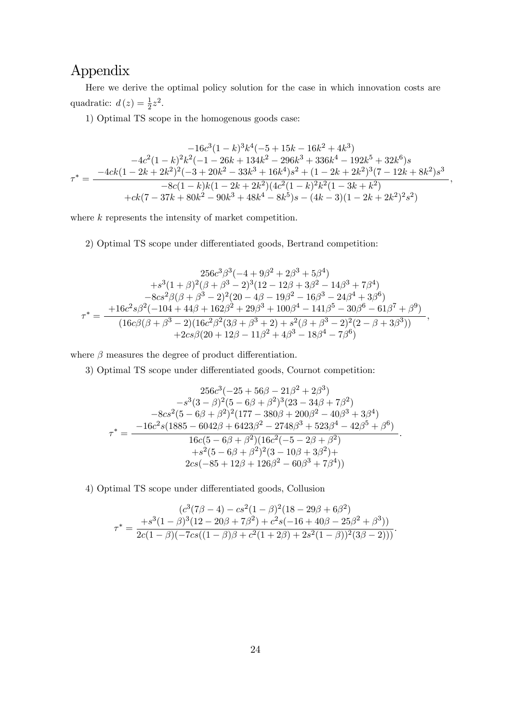# Appendix

Here we derive the optimal policy solution for the case in which innovation costs are quadratic:  $d(z) = \frac{1}{2}z^2$ .

1) Optimal TS scope in the homogenous goods case:

$$
-16c^3(1-k)^3k^4(-5+15k-16k^2+4k^3)
$$
  
\n
$$
-4c^2(1-k)^2k^2(-1-26k+134k^2-296k^3+336k^4-192k^5+32k^6)s
$$
  
\n
$$
\tau^* = \frac{-4ck(1-2k+2k^2)^2(-3+20k^2-33k^3+16k^4)s^2+(1-2k+2k^2)^3(7-12k+8k^2)s^3}{-8c(1-k)k(1-2k+2k^2)(4c^2(1-k)^2k^2(1-3k+k^2)}
$$
  
\n
$$
+ck(7-37k+80k^2-90k^3+48k^4-8k^5)s-(4k-3)(1-2k+2k^2)^2s^2)
$$

;

where  $k$  represents the intensity of market competition.

2) Optimal TS scope under differentiated goods, Bertrand competition:

$$
256c^3\beta^3(-4+9\beta^2+2\beta^3+5\beta^4) + s^3(1+\beta)^2(\beta+\beta^3-2)^3(12-12\beta+3\beta^2-14\beta^3+7\beta^4) -8cs^2\beta(\beta+\beta^3-2)^2(20-4\beta-19\beta^2-16\beta^3-24\beta^4+3\beta^6) \tau^* = \frac{+16c^2s\beta^2(-104+44\beta+162\beta^2+29\beta^3+100\beta^4-141\beta^5-30\beta^6-61\beta^7+\beta^9)}{(16c\beta(\beta+\beta^3-2)(16c^2\beta^2(3\beta+\beta^3+2)+s^2(\beta+\beta^3-2)^2(2-\beta+3\beta^3))} +2cs\beta(20+12\beta-11\beta^2+4\beta^3-18\beta^4-7\beta^6)
$$

where  $\beta$  measures the degree of product differentiation.

3) Optimal TS scope under differentiated goods, Cournot competition:

$$
256c^3(-25+56\beta-21\beta^2+2\beta^3) \n-s^3(3-\beta)^2(5-6\beta+\beta^2)^3(23-34\beta+7\beta^2) \n-8cs^2(5-6\beta+\beta^2)^2(177-380\beta+200\beta^2-40\beta^3+3\beta^4) \n\tau^* = \frac{-16c^2s(1885-6042\beta+6423\beta^2-2748\beta^3+523\beta^4-42\beta^5+\beta^6)}{16c(5-6\beta+\beta^2)(16c^2(-5-2\beta+\beta^2) +s^2(5-6\beta+\beta^2)^2(3-10\beta+3\beta^2)+\n2cs(-85+12\beta+126\beta^2-60\beta^3+7\beta^4))
$$

4) Optimal TS scope under differentiated goods, Collusion

$$
(c^3(7\beta - 4) - cs^2(1 - \beta)^2(18 - 29\beta + 6\beta^2)
$$

$$
\tau^* = \frac{+s^3(1 - \beta)^3(12 - 20\beta + 7\beta^2) + c^2s(-16 + 40\beta - 25\beta^2 + \beta^3))}{2c(1 - \beta)(-7cs((1 - \beta)\beta + c^2(1 + 2\beta) + 2s^2(1 - \beta))^2(3\beta - 2)))}.
$$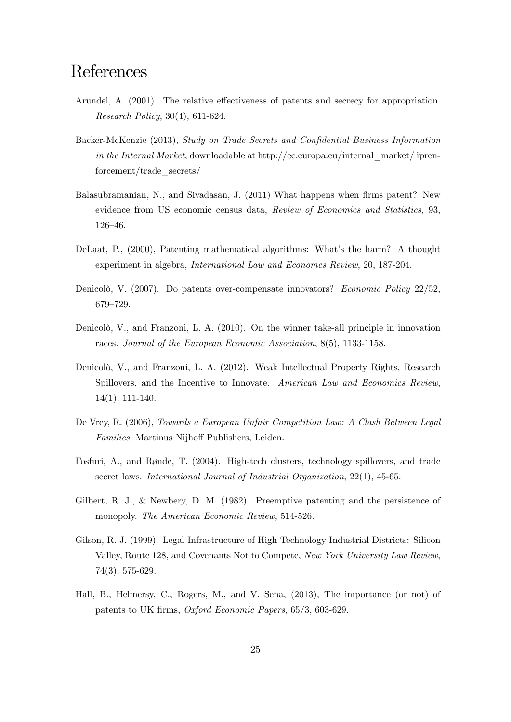# References

- Arundel, A. (2001). The relative effectiveness of patents and secrecy for appropriation. Research Policy, 30(4), 611-624.
- Backer-McKenzie (2013), Study on Trade Secrets and Confidential Business Information in the Internal Market, downloadable at http://ec.europa.eu/internal\_market/ iprenforcement/trade\_secrets/
- Balasubramanian, N., and Sivadasan, J. (2011) What happens when firms patent? New evidence from US economic census data, Review of Economics and Statistics, 93,  $126 - 46.$
- DeLaat, P., (2000), Patenting mathematical algorithms: What's the harm? A thought experiment in algebra, International Law and Economcs Review, 20, 187-204.
- Denicolò, V. (2007). Do patents over-compensate innovators? Economic Policy 22/52, 679-729.
- Denicolò, V., and Franzoni, L. A.  $(2010)$ . On the winner take-all principle in innovation races. Journal of the European Economic Association, 8(5), 1133-1158.
- Denicolò, V., and Franzoni, L. A. (2012). Weak Intellectual Property Rights, Research Spillovers, and the Incentive to Innovate. American Law and Economics Review, 14(1), 111-140.
- De Vrey, R. (2006), Towards a European Unfair Competition Law: A Clash Between Legal Families, Martinus Nijhoff Publishers, Leiden.
- Fosfuri, A., and Rønde, T. (2004). High-tech clusters, technology spillovers, and trade secret laws. International Journal of Industrial Organization, 22(1), 45-65.
- Gilbert, R. J., & Newbery, D. M. (1982). Preemptive patenting and the persistence of monopoly. The American Economic Review, 514-526.
- Gilson, R. J. (1999). Legal Infrastructure of High Technology Industrial Districts: Silicon Valley, Route 128, and Covenants Not to Compete, New York University Law Review, 74(3), 575-629.
- Hall, B., Helmersy, C., Rogers, M., and V. Sena, (2013), The importance (or not) of patents to UK firms, *Oxford Economic Papers*, 65/3, 603-629.